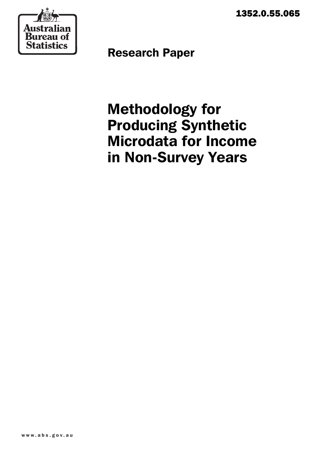1352.0.55.065



Research Paper

Methodology for Producing Synthetic Microdata for Income in Non-Survey Years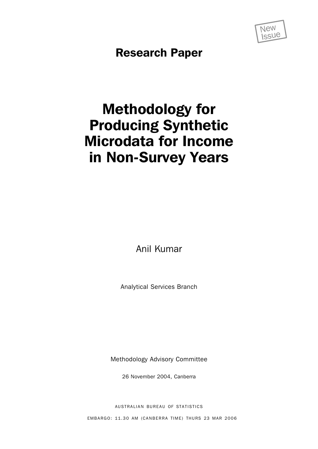

Research Paper

# Methodology for Producing Synthetic Microdata for Income in Non-Survey Years

Anil Kumar

Analytical Services Branch

Methodology Advisory Committee

26 November 2004, Canberra

AUSTRALIAN BUREAU OF STATISTICS

EMBARGO: 11.30 AM (CANBERRA TIME) THURS 23 MAR 2006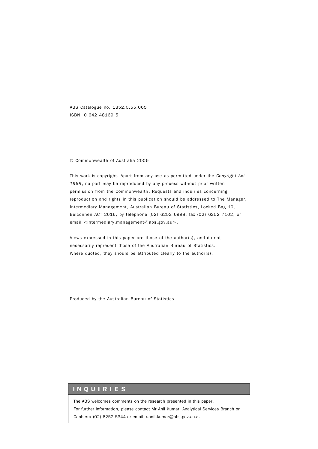ABS Catalogue no. 1352.0.55.065 ISBN 0 642 48169 5

#### © Commonwealth of Australia 2005

This work is copyright. Apart from any use as permitted under the *Copyright Act 1968*, no part may be reproduced by any process without prior written permission from the Commonwealth. Requests and inquiries concerning reproduction and rights in this publication should be addressed to The Manager, Intermediary Management, Australian Bureau of Statistics, Locked Bag 10, Belconnen ACT 2616, by telephone (02) 6252 6998, fax (02) 6252 7102, or email <intermediary.management@abs.gov.au>.

Views expressed in this paper are those of the author(s), and do not necessarily represent those of the Australian Bureau of Statistics. Where quoted, they should be attributed clearly to the author(s).

Produced by the Australian Bureau of Statistics

#### INQUIRIES

The ABS welcomes comments on the research presented in this paper. For further information, please contact Mr Anil Kumar, Analytical Services Branch on Canberra (02) 6252 5344 or email  $\langle$ anil.kumar@abs.gov.au $\rangle$ .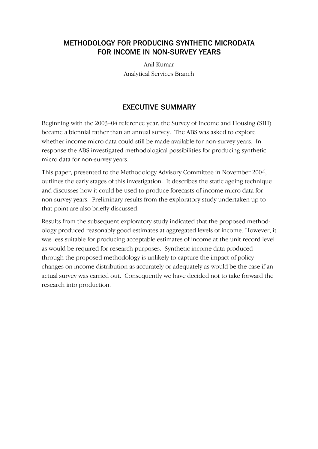# METHODOLOGY FOR PRODUCING SYNTHETIC MICRODATA FOR INCOME IN NON-SURVEY YEARS

Anil Kumar Analytical Services Branch

# EXECUTIVE SUMMARY

Beginning with the 2003–04 reference year, the Survey of Income and Housing (SIH) became a biennial rather than an annual survey. The ABS was asked to explore whether income micro data could still be made available for non-survey years. In response the ABS investigated methodological possibilities for producing synthetic micro data for non-survey years.

This paper, presented to the Methodology Advisory Committee in November 2004, outlines the early stages of this investigation. It describes the static ageing technique and discusses how it could be used to produce forecasts of income micro data for non-survey years. Preliminary results from the exploratory study undertaken up to that point are also briefly discussed.

Results from the subsequent exploratory study indicated that the proposed methodology produced reasonably good estimates at aggregated levels of income. However, it was less suitable for producing acceptable estimates of income at the unit record level as would be required for research purposes. Synthetic income data produced through the proposed methodology is unlikely to capture the impact of policy changes on income distribution as accurately or adequately as would be the case if an actual survey was carried out. Consequently we have decided not to take forward the research into production.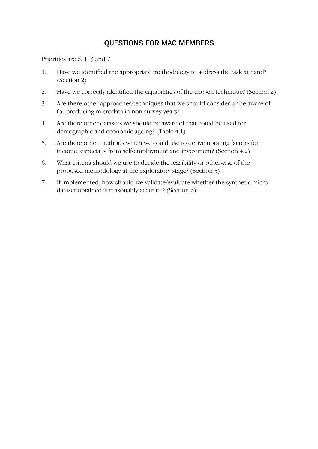# QUESTIONS FOR MAC MEMBERS

Priorities are 6, 1, 3 and 7.

- 1. Have we identified the appropriate methodology to address the task at hand? (Section 2)
- 2. Have we correctly identified the capabilities of the chosen technique? (Section 2)
- 3. Are there other approaches/techniques that we should consider or be aware of for producing microdata in non-survey years?
- 4. Are there other datasets we should be aware of that could be used for demographic and economic ageing? (Table 4.1)
- 5. Are there other methods which we could use to derive uprating factors for income, especially from self-employment and investment? (Section 4.2)
- 6. What criteria should we use to decide the feasibility or otherwise of the proposed methodology at the exploratory stage? (Section 5)
- 7. If implemented, how should we validate/evaluate whether the synthetic micro dataset obtained is reasonably accurate? (Section 6)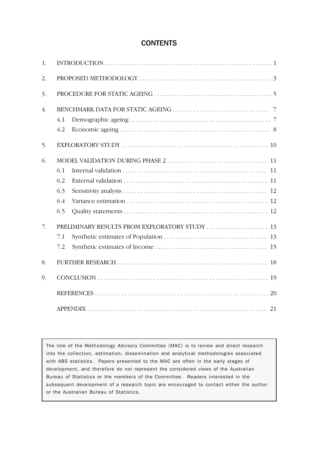# **CONTENTS**

| 1.               |                                                |  |  |  |  |
|------------------|------------------------------------------------|--|--|--|--|
| 2.               |                                                |  |  |  |  |
| 3.               |                                                |  |  |  |  |
| $\overline{4}$ . |                                                |  |  |  |  |
|                  | 4.1                                            |  |  |  |  |
|                  | 4.2                                            |  |  |  |  |
| 5.               |                                                |  |  |  |  |
| 6.               |                                                |  |  |  |  |
|                  | 6.1                                            |  |  |  |  |
|                  | 6.2                                            |  |  |  |  |
|                  | 6.3                                            |  |  |  |  |
|                  | 6.4                                            |  |  |  |  |
|                  | 6.5                                            |  |  |  |  |
| 7.               | PRELIMINARY RESULTS FROM EXPLORATORY STUDY  13 |  |  |  |  |
|                  | 7.1                                            |  |  |  |  |
|                  | 7.2                                            |  |  |  |  |
| 8.               | 18                                             |  |  |  |  |
| 9.               |                                                |  |  |  |  |
|                  |                                                |  |  |  |  |
|                  |                                                |  |  |  |  |

The role of the Methodology Advisory Committee (MAC) is to review and direct research into the collection, estimation, dissemination and analytical methodologies associated with ABS statistics. Papers presented to the MAC are often in the early stages of development, and therefore do not represent the considered views of the Australian Bureau of Statistics or the members of the Committee. Readers interested in the subsequent development of a research topic are encouraged to contact either the author or the Australian Bureau of Statistics.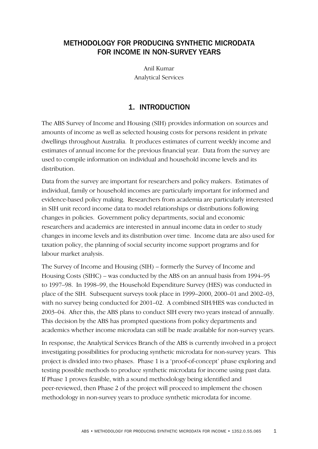# METHODOLOGY FOR PRODUCING SYNTHETIC MICRODATA FOR INCOME IN NON-SURVEY YEARS

Anil Kumar Analytical Services

# 1. INTRODUCTION

The ABS Survey of Income and Housing (SIH) provides information on sources and amounts of income as well as selected housing costs for persons resident in private dwellings throughout Australia. It produces estimates of current weekly income and estimates of annual income for the previous financial year. Data from the survey are used to compile information on individual and household income levels and its distribution.

Data from the survey are important for researchers and policy makers. Estimates of individual, family or household incomes are particularly important for informed and evidence-based policy making. Researchers from academia are particularly interested in SIH unit record income data to model relationships or distributions following changes in policies. Government policy departments, social and economic researchers and academics are interested in annual income data in order to study changes in income levels and its distribution over time. Income data are also used for taxation policy, the planning of social security income support programs and for labour market analysis.

The Survey of Income and Housing (SIH) – formerly the Survey of Income and Housing Costs (SIHC) – was conducted by the ABS on an annual basis from 1994–95 to 1997–98. In 1998–99, the Household Expenditure Survey (HES) was conducted in place of the SIH. Subsequent surveys took place in 1999–2000, 2000–01 and 2002–03, with no survey being conducted for 2001–02. A combined SIH/HES was conducted in 2003–04. After this, the ABS plans to conduct SIH every two years instead of annually. This decision by the ABS has prompted questions from policy departments and academics whether income microdata can still be made available for non-survey years.

In response, the Analytical Services Branch of the ABS is currently involved in a project investigating possibilities for producing synthetic microdata for non-survey years. This project is divided into two phases. Phase 1 is a 'proof-of-concept' phase exploring and testing possible methods to produce synthetic microdata for income using past data. If Phase 1 proves feasible, with a sound methodology being identified and peer-reviewed, then Phase 2 of the project will proceed to implement the chosen methodology in non-survey years to produce synthetic microdata for income.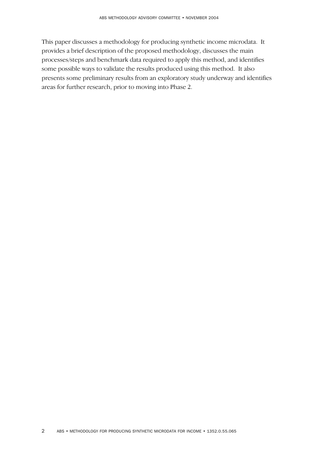This paper discusses a methodology for producing synthetic income microdata. It provides a brief description of the proposed methodology, discusses the main processes/steps and benchmark data required to apply this method, and identifies some possible ways to validate the results produced using this method. It also presents some preliminary results from an exploratory study underway and identifies areas for further research, prior to moving into Phase 2.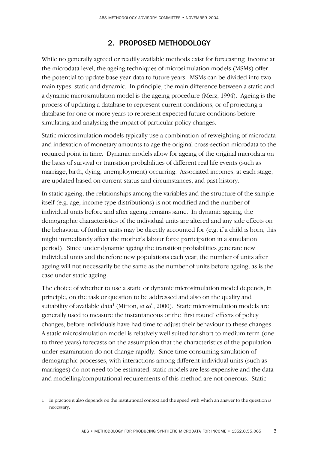# 2. PROPOSED METHODOLOGY

While no generally agreed or readily available methods exist for forecasting income at the microdata level, the ageing techniques of microsimulation models (MSMs) offer the potential to update base year data to future years. MSMs can be divided into two main types: static and dynamic. In principle, the main difference between a static and a dynamic microsimulation model is the ageing procedure (Merz, 1994). Ageing is the process of updating a database to represent current conditions, or of projecting a database for one or more years to represent expected future conditions before simulating and analysing the impact of particular policy changes.

Static microsimulation models typically use a combination of reweighting of microdata and indexation of monetary amounts to age the original cross-section microdata to the required point in time. Dynamic models allow for ageing of the original microdata on the basis of survival or transition probabilities of different real life events (such as marriage, birth, dying, unemployment) occurring. Associated incomes, at each stage, are updated based on current status and circumstances, and past history.

In static ageing, the relationships among the variables and the structure of the sample itself (e.g. age, income type distributions) is not modified and the number of individual units before and after ageing remains same. In dynamic ageing, the demographic characteristics of the individual units are altered and any side effects on the behaviour of further units may be directly accounted for (e.g. if a child is born, this might immediately affect the mother's labour force participation in a simulation period). Since under dynamic ageing the transition probabilities generate new individual units and therefore new populations each year, the number of units after ageing will not necessarily be the same as the number of units before ageing, as is the case under static ageing.

The choice of whether to use a static or dynamic microsimulation model depends, in principle, on the task or question to be addressed and also on the quality and suitability of available data<sup>1</sup> (Mitton, *et al.*, 2000). Static microsimulation models are generally used to measure the instantaneous or the 'first round' effects of policy changes, before individuals have had time to adjust their behaviour to these changes. A static microsimulation model is relatively well suited for short to medium term (one to three years) forecasts on the assumption that the characteristics of the population under examination do not change rapidly. Since time-consuming simulation of demographic processes, with interactions among different individual units (such as marriages) do not need to be estimated, static models are less expensive and the data and modelling/computational requirements of this method are not onerous. Static

<sup>1</sup> In practice it also depends on the institutional context and the speed with which an answer to the question is necessary.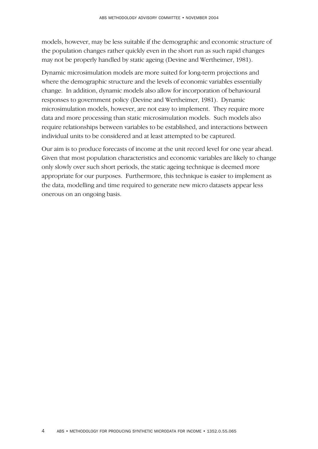models, however, may be less suitable if the demographic and economic structure of the population changes rather quickly even in the short run as such rapid changes may not be properly handled by static ageing (Devine and Wertheimer, 1981).

Dynamic microsimulation models are more suited for long-term projections and where the demographic structure and the levels of economic variables essentially change. In addition, dynamic models also allow for incorporation of behavioural responses to government policy (Devine and Wertheimer, 1981). Dynamic microsimulation models, however, are not easy to implement. They require more data and more processing than static microsimulation models. Such models also require relationships between variables to be established, and interactions between individual units to be considered and at least attempted to be captured.

Our aim is to produce forecasts of income at the unit record level for one year ahead. Given that most population characteristics and economic variables are likely to change only slowly over such short periods, the static ageing technique is deemed more appropriate for our purposes. Furthermore, this technique is easier to implement as the data, modelling and time required to generate new micro datasets appear less onerous on an ongoing basis.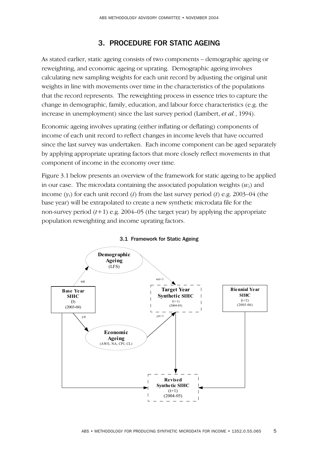# 3. PROCEDURE FOR STATIC AGEING

As stated earlier, static ageing consists of two components – demographic ageing or reweighting, and economic ageing or uprating. Demographic ageing involves calculating new sampling weights for each unit record by adjusting the original unit weights in line with movements over time in the characteristics of the populations that the record represents. The reweighting process in essence tries to capture the change in demographic, family, education, and labour force characteristics (e.g. the increase in unemployment) since the last survey period (Lambert, *et al.*, 1994).

Economic ageing involves uprating (either inflating or deflating) components of income of each unit record to reflect changes in income levels that have occurred since the last survey was undertaken. Each income component can be aged separately by applying appropriate uprating factors that more closely reflect movements in that component of income in the economy over time.

Figure 3.1 below presents an overview of the framework for static ageing to be applied in our case. The microdata containing the associated population weights  $(w_i)$  and income (*yi*) for each unit record (*i*) from the last survey period (*t*) e.g. 2003–04 (the base year) will be extrapolated to create a new synthetic microdata file for the non-survey period  $(t+1)$  e.g. 2004–05 (the target year) by applying the appropriate population reweighting and income uprating factors.



3.1 Framework for Static Ageing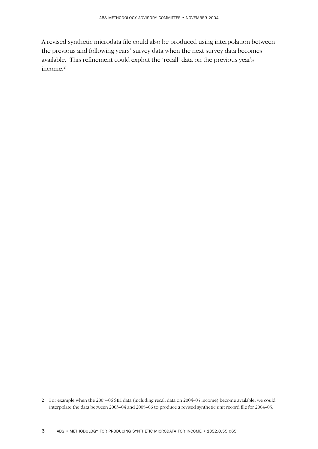A revised synthetic microdata file could also be produced using interpolation between the previous and following years' survey data when the next survey data becomes available. This refinement could exploit the 'recall' data on the previous year's  $income.<sup>2</sup>$ 

<sup>2</sup> For example when the 2005–06 SIH data (including recall data on 2004–05 income) become available, we could interpolate the data between 2003–04 and 2005–06 to produce a revised synthetic unit record file for 2004–05.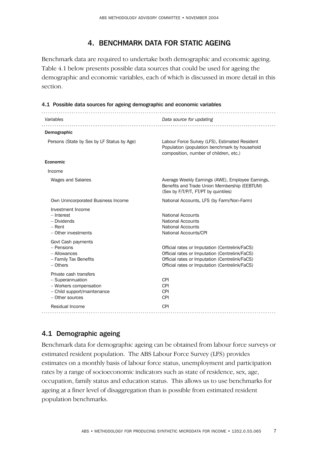# 4. BENCHMARK DATA FOR STATIC AGEING

Benchmark data are required to undertake both demographic and economic ageing. Table 4.1 below presents possible data sources that could be used for ageing the demographic and economic variables, each of which is discussed in more detail in this section.

#### 4.1 Possible data sources for ageing demographic and economic variables

| Variables                                                                                                              | Data source for updating                                                                                                                                                                             |
|------------------------------------------------------------------------------------------------------------------------|------------------------------------------------------------------------------------------------------------------------------------------------------------------------------------------------------|
| Demographic                                                                                                            |                                                                                                                                                                                                      |
| Persons (State by Sex by LF Status by Age)                                                                             | Labour Force Survey (LFS), Estimated Resident<br>Population (population benchmark by household<br>composition, number of children, etc.)                                                             |
| Economic                                                                                                               |                                                                                                                                                                                                      |
| Income                                                                                                                 |                                                                                                                                                                                                      |
| <b>Wages and Salaries</b>                                                                                              | Average Weekly Earnings (AWE), Employee Earnings,<br>Benefits and Trade Union Membership (EEBTUM)<br>(Sex by F/T/P/T, FT/PT by quintiles)                                                            |
| Own Unincorporated Business Income                                                                                     | National Accounts, LFS (by Farm/Non-Farm)                                                                                                                                                            |
| Investment Income<br>- Interest<br>- Dividends<br>$-$ Rent<br>- Other investments                                      | National Accounts<br><b>National Accounts</b><br><b>National Accounts</b><br>National Accounts/CPI                                                                                                   |
| Govt Cash payments<br>- Pensions<br>- Allowances<br>- Family Tax Benefits<br>- Others                                  | Official rates or Imputation (Centrelink/FaCS)<br>Official rates or Imputation (Centrelink/FaCS)<br>Official rates or Imputation (Centrelink/FaCS)<br>Official rates or Imputation (Centrelink/FaCS) |
| Private cash transfers<br>- Superannuation<br>- Workers compensation<br>- Child support/maintenance<br>- Other sources | <b>CPI</b><br><b>CPI</b><br><b>CPI</b><br><b>CPI</b>                                                                                                                                                 |
| Residual Income                                                                                                        | <b>CPI</b>                                                                                                                                                                                           |

## 4.1 Demographic ageing

Benchmark data for demographic ageing can be obtained from labour force surveys or estimated resident population. The ABS Labour Force Survey (LFS) provides estimates on a monthly basis of labour force status, unemployment and participation rates by a range of socioeconomic indicators such as state of residence, sex, age, occupation, family status and education status. This allows us to use benchmarks for ageing at a finer level of disaggregation than is possible from estimated resident population benchmarks.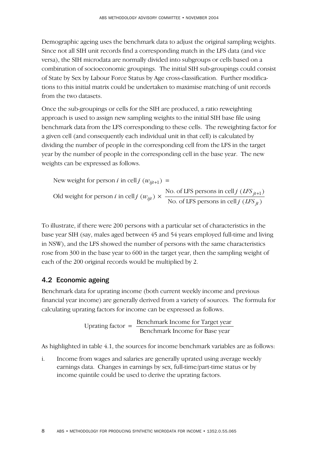Demographic ageing uses the benchmark data to adjust the original sampling weights. Since not all SIH unit records find a corresponding match in the LFS data (and vice versa), the SIH microdata are normally divided into subgroups or cells based on a combination of socioeconomic groupings. The initial SIH sub-groupings could consist of State by Sex by Labour Force Status by Age cross-classification. Further modifications to this initial matrix could be undertaken to maximise matching of unit records from the two datasets.

Once the sub-groupings or cells for the SIH are produced, a ratio reweighting approach is used to assign new sampling weights to the initial SIH base file using benchmark data from the LFS corresponding to these cells. The reweighting factor for a given cell (and consequently each individual unit in that cell) is calculated by dividing the number of people in the corresponding cell from the LFS in the target year by the number of people in the corresponding cell in the base year. The new weights can be expressed as follows.

New weight for person *i* in cell *j*  $(w_{ijt+1}) =$ Old weight for person *i* in cell *j*  $(w_{ijt}) \times \frac{\text{No. of LFS} \text{ persons in cell } j \text{ (LFS }_{jt+1})}{\text{No. of LFS} \text{ persons in cell } j \text{ (LFS }_{it})}$ *ijt i* in cell *j* ( $w_{ijt}$ )  $\times \frac{\text{No. of LFS } }{\text{No. of LFS } }$  persons in cell *j* ( $LFS_{jt}$ 

To illustrate, if there were 200 persons with a particular set of characteristics in the base year SIH (say, males aged between 45 and 54 years employed full-time and living in NSW), and the LFS showed the number of persons with the same characteristics rose from 300 in the base year to 600 in the target year, then the sampling weight of each of the 200 original records would be multiplied by 2.

### 4.2 Economic ageing

Benchmark data for uprating income (both current weekly income and previous financial year income) are generally derived from a variety of sources. The formula for calculating uprating factors for income can be expressed as follows.

$$
Uprating factor = \frac{Benchmark Income for Target year}{Benchmark Income for Base year}
$$

As highlighted in table 4.1, the sources for income benchmark variables are as follows:

i. Income from wages and salaries are generally uprated using average weekly earnings data. Changes in earnings by sex, full-time/part-time status or by income quintile could be used to derive the uprating factors.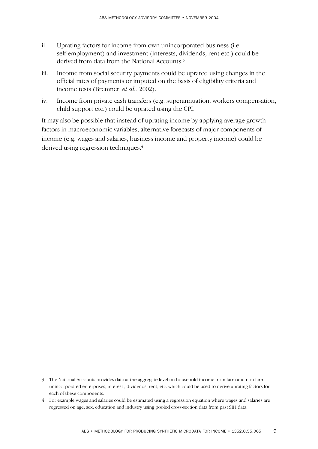- ii. Uprating factors for income from own unincorporated business (i.e. self-employment) and investment (interests, dividends, rent etc.) could be derived from data from the National Accounts.3
- iii. Income from social security payments could be uprated using changes in the official rates of payments or imputed on the basis of eligibility criteria and income tests (Bremner, *et al.*, 2002).
- iv. Income from private cash transfers (e.g. superannuation, workers compensation, child support etc.) could be uprated using the CPI.

It may also be possible that instead of uprating income by applying average growth factors in macroeconomic variables, alternative forecasts of major components of income (e.g. wages and salaries, business income and property income) could be derived using regression techniques.<sup>4</sup>

<sup>3</sup> The National Accounts provides data at the aggregate level on household income from farm and non-farm unincorporated enterprises, interest , dividends, rent, etc. which could be used to derive uprating factors for each of these components.

<sup>4</sup> For example wages and salaries could be estimated using a regression equation where wages and salaries are regressed on age, sex, education and industry using pooled cross-section data from past SIH data.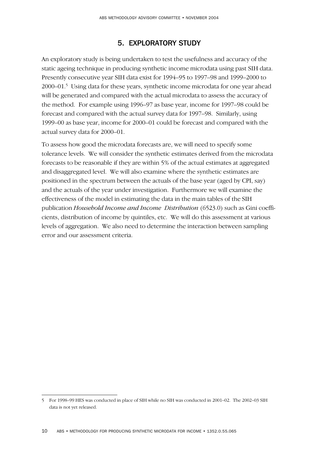# 5. EXPLORATORY STUDY

An exploratory study is being undertaken to test the usefulness and accuracy of the static ageing technique in producing synthetic income microdata using past SIH data. Presently consecutive year SIH data exist for 1994–95 to 1997–98 and 1999–2000 to 2000–01.5 Using data for these years, synthetic income microdata for one year ahead will be generated and compared with the actual microdata to assess the accuracy of the method. For example using 1996–97 as base year, income for 1997–98 could be forecast and compared with the actual survey data for 1997–98. Similarly, using 1999–00 as base year, income for 2000–01 could be forecast and compared with the actual survey data for 2000–01.

To assess how good the microdata forecasts are, we will need to specify some tolerance levels. We will consider the synthetic estimates derived from the microdata forecasts to be reasonable if they are within 5% of the actual estimates at aggregated and disaggregated level. We will also examine where the synthetic estimates are positioned in the spectrum between the actuals of the base year (aged by CPI, say) and the actuals of the year under investigation. Furthermore we will examine the effectiveness of the model in estimating the data in the main tables of the SIH publication *Household Income and Income Distribution* (6523.0) such as Gini coefficients, distribution of income by quintiles, etc. We will do this assessment at various levels of aggregation. We also need to determine the interaction between sampling error and our assessment criteria.

<sup>5</sup> For 1998–99 HES was conducted in place of SIH while no SIH was conducted in 2001–02. The 2002–03 SIH data is not yet released.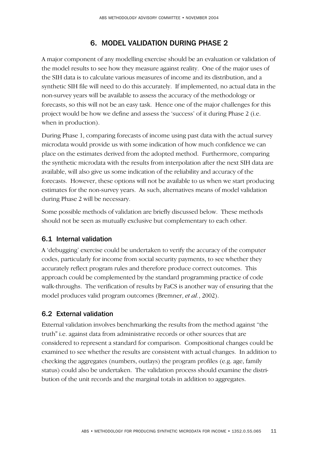# 6. MODEL VALIDATION DURING PHASE 2

A major component of any modelling exercise should be an evaluation or validation of the model results to see how they measure against reality. One of the major uses of the SIH data is to calculate various measures of income and its distribution, and a synthetic SIH file will need to do this accurately. If implemented, no actual data in the non-survey years will be available to assess the accuracy of the methodology or forecasts, so this will not be an easy task. Hence one of the major challenges for this project would be how we define and assess the 'success' of it during Phase 2 (i.e. when in production).

During Phase 1, comparing forecasts of income using past data with the actual survey microdata would provide us with some indication of how much confidence we can place on the estimates derived from the adopted method. Furthermore, comparing the synthetic microdata with the results from interpolation after the next SIH data are available, will also give us some indication of the reliability and accuracy of the forecasts. However, these options will not be available to us when we start producing estimates for the non-survey years. As such, alternatives means of model validation during Phase 2 will be necessary.

Some possible methods of validation are briefly discussed below. These methods should not be seen as mutually exclusive but complementary to each other.

### 6.1 Internal validation

A 'debugging' exercise could be undertaken to verify the accuracy of the computer codes, particularly for income from social security payments, to see whether they accurately reflect program rules and therefore produce correct outcomes. This approach could be complemented by the standard programming practice of code walk-throughs. The verification of results by FaCS is another way of ensuring that the model produces valid program outcomes (Bremner, *et al.*, 2002).

## 6.2 External validation

External validation involves benchmarking the results from the method against "the truth" i.e. against data from administrative records or other sources that are considered to represent a standard for comparison. Compositional changes could be examined to see whether the results are consistent with actual changes. In addition to checking the aggregates (numbers, outlays) the program profiles (e.g. age, family status) could also be undertaken. The validation process should examine the distribution of the unit records and the marginal totals in addition to aggregates.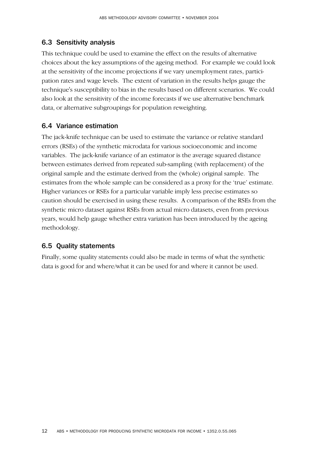### 6.3 Sensitivity analysis

This technique could be used to examine the effect on the results of alternative choices about the key assumptions of the ageing method. For example we could look at the sensitivity of the income projections if we vary unemployment rates, participation rates and wage levels. The extent of variation in the results helps gauge the technique's susceptibility to bias in the results based on different scenarios. We could also look at the sensitivity of the income forecasts if we use alternative benchmark data, or alternative subgroupings for population reweighting.

### 6.4 Variance estimation

The jack-knife technique can be used to estimate the variance or relative standard errors (RSEs) of the synthetic microdata for various socioeconomic and income variables. The jack-knife variance of an estimator is the average squared distance between estimates derived from repeated sub-sampling (with replacement) of the original sample and the estimate derived from the (whole) original sample. The estimates from the whole sample can be considered as a proxy for the 'true' estimate. Higher variances or RSEs for a particular variable imply less precise estimates so caution should be exercised in using these results. A comparison of the RSEs from the synthetic micro dataset against RSEs from actual micro datasets, even from previous years, would help gauge whether extra variation has been introduced by the ageing methodology.

### 6.5 Quality statements

Finally, some quality statements could also be made in terms of what the synthetic data is good for and where/what it can be used for and where it cannot be used.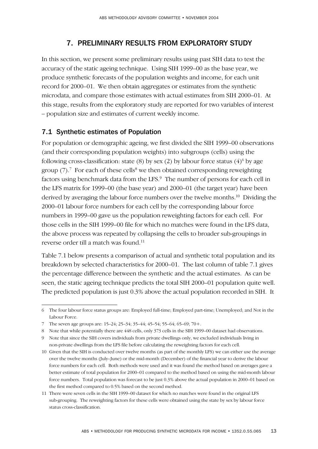# 7. PRELIMINARY RESULTS FROM EXPLORATORY STUDY

In this section, we present some preliminary results using past SIH data to test the accuracy of the static ageing technique. Using SIH 1999–00 as the base year, we produce synthetic forecasts of the population weights and income, for each unit record for 2000–01. We then obtain aggregates or estimates from the synthetic microdata, and compare those estimates with actual estimates from SIH 2000–01. At this stage, results from the exploratory study are reported for two variables of interest – population size and estimates of current weekly income.

### 7.1 Synthetic estimates of Population

For population or demographic ageing, we first divided the SIH 1999–00 observations (and their corresponding population weights) into subgroups (cells) using the following cross-classification: state (8) by sex (2) by labour force status  $(4)^6$  by age group  $(7)$ .<sup>7</sup> For each of these cells<sup>8</sup> we then obtained corresponding reweighting factors using benchmark data from the LFS.<sup>9</sup> The number of persons for each cell in the LFS matrix for 1999–00 (the base year) and 2000–01 (the target year) have been derived by averaging the labour force numbers over the twelve months.10 Dividing the 2000–01 labour force numbers for each cell by the corresponding labour force numbers in 1999–00 gave us the population reweighting factors for each cell. For those cells in the SIH 1999–00 file for which no matches were found in the LFS data, the above process was repeated by collapsing the cells to broader sub-groupings in reverse order till a match was found.11

Table 7.1 below presents a comparison of actual and synthetic total population and its breakdown by selected characteristics for 2000–01. The last column of table 7.1 gives the percentage difference between the synthetic and the actual estimates. As can be seen, the static ageing technique predicts the total SIH 2000–01 population quite well. The predicted population is just 0.3% above the actual population recorded in SIH. It

<sup>6</sup> The four labour force status groups are: Employed full-time; Employed part-time; Unemployed; and Not in the Labour Force.

<sup>7</sup> The seven age groups are: 15–24; 25–34; 35–44; 45–54; 55–64; 65–69; 70+.

<sup>8</sup> Note that while potentially there are 448 cells, only 373 cells in the SIH 1999–00 dataset had observations.

<sup>9</sup> Note that since the SIH covers individuals from private dwellings only, we excluded individuals living in non-private dwellings from the LFS file before calculating the reweighting factors for each cell.

<sup>10</sup> Given that the SIH is conducted over twelve months (as part of the monthly LFS) we can either use the average over the twelve months (July–June) or the mid-month (December) of the financial year to derive the labour force numbers for each cell. Both methods were used and it was found the method based on averages gave a better estimate of total population for 2000–01 compared to the method based on using the mid-month labour force numbers. Total population was forecast to be just 0.3% above the actual population in 2000–01 based on the first method compared to 0.5% based on the second method.

<sup>11</sup> There were seven cells in the SIH 1999–00 dataset for which no matches were found in the original LFS sub-grouping. The reweighting factors for these cells were obtained using the state by sex by labour force status cross-classification.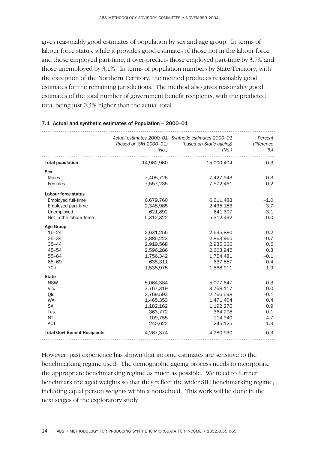gives reasonably good estimates of population by sex and age group. In terms of labour force status, while it provides good estimates of those not in the labour force and those employed part-time, it over-predicts those employed part-time by 3.7% and those unemployed by 3.1%. In terms of population numbers by State/Territory, with the exception of the Northern Territory, the method produces reasonably good estimates for the remaining jurisdictions. The method also gives reasonably good estimates of the total number of government benefit recipients, with the predicted total being just 0.3% higher than the actual total.

|                                      | (based on SIH 2000-01)<br>(N <sub>O</sub> ) | Actual estimates 2000-01 Synthetic estimates 2000-01<br>(based on Static ageing)<br>(N <sub>O</sub> ) | Percent<br>difference<br>$(\%)$ |
|--------------------------------------|---------------------------------------------|-------------------------------------------------------------------------------------------------------|---------------------------------|
|                                      |                                             |                                                                                                       |                                 |
| <b>Total population</b>              | 14,962,960                                  | 15,000,404                                                                                            | 0.3                             |
| <b>Sex</b>                           |                                             |                                                                                                       |                                 |
| <b>Males</b>                         | 7,405,725                                   | 7,427,943                                                                                             | 0.3                             |
| Females                              | 7,557,235                                   | 7,572,461                                                                                             | 0.2                             |
| Labour force status                  |                                             |                                                                                                       |                                 |
| Employed full-time                   | 6,679,760                                   | 6,611,483                                                                                             | $-1.0$                          |
| Employed part-time                   | 2,348,985                                   | 2,435,183                                                                                             | 3.7                             |
| Unemployed                           | 621,892                                     | 641,307                                                                                               | 3.1                             |
| Not in the labour force              | 5,312,322                                   | 5,312,432                                                                                             | 0.0                             |
| <b>Age Group</b>                     |                                             |                                                                                                       |                                 |
| $15 - 24$                            | 2,631,255                                   | 2,635,880                                                                                             | 0.2                             |
| $25 - 34$                            | 2,885,223                                   | 2,863,965                                                                                             | $-0.7$                          |
| $35 - 44$                            | 2,919,568                                   | 2,935,366                                                                                             | 0.5                             |
| $45 - 54$                            | 2,596,286                                   | 2,603,945                                                                                             | 0.3                             |
| $55 - 64$                            | 1,756,342                                   | 1,754,481                                                                                             | $-0.1$                          |
| 65-69                                | 635,311                                     | 637,857                                                                                               | 0.4                             |
| $70+$                                | 1,538,975                                   | 1,568,911                                                                                             | 1.9                             |
| <b>State</b>                         |                                             |                                                                                                       |                                 |
| <b>NSW</b>                           | 5,064,384                                   | 5,077,647                                                                                             | 0.3                             |
| Vic.                                 | 3,767,319                                   | 3,768,117                                                                                             | 0.0                             |
| Qld                                  | 2,769,593                                   | 2,766,598                                                                                             | $-0.1$                          |
| WA                                   | 1,465,353                                   | 1,471,404                                                                                             | 0.4                             |
| <b>SA</b>                            | 1,182,162                                   | 1,192,276                                                                                             | 0.9                             |
| Tas.                                 | 363,772                                     | 364,298                                                                                               | 0.1                             |
| NT                                   | 109,755                                     | 114,940                                                                                               | 4.7                             |
| <b>ACT</b>                           | 240,622                                     | 245,125                                                                                               | 1.9                             |
| <b>Total Govt Benefit Recipients</b> | 4,267,374                                   | 4,280,930                                                                                             | 0.3                             |
|                                      |                                             |                                                                                                       |                                 |

#### 7.1 Actual and synthetic estimates of Population – 2000–01

However, past experience has shown that income estimates are sensitive to the benchmarking regime used. The demographic ageing process needs to incorporate the appropriate benchmarking regime as much as possible. We need to further benchmark the aged weights so that they reflect the wider SIH benchmarking regime, including equal person weights within a household. This work will be done in the next stages of the exploratory study.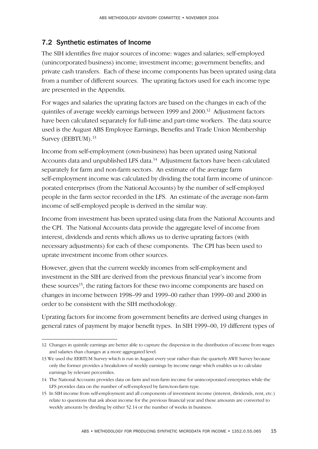## 7.2 Synthetic estimates of Income

The SIH identifies five major sources of income: wages and salaries; self-employed (unincorporated business) income; investment income; government benefits; and private cash transfers. Each of these income components has been uprated using data from a number of different sources. The uprating factors used for each income type are presented in the Appendix.

For wages and salaries the uprating factors are based on the changes in each of the quintiles of average weekly earnings between 1999 and 2000.<sup>12</sup> Adjustment factors have been calculated separately for full-time and part-time workers. The data source used is the August ABS Employee Earnings, Benefits and Trade Union Membership Survey (EEBTUM).<sup>13</sup>

Income from self-employment (own-business) has been uprated using National Accounts data and unpublished LFS data.<sup>14</sup> Adjustment factors have been calculated separately for farm and non-farm sectors. An estimate of the average farm self-employment income was calculated by dividing the total farm income of unincorporated enterprises (from the National Accounts) by the number of self-employed people in the farm sector recorded in the LFS. An estimate of the average non-farm income of self-employed people is derived in the similar way.

Income from investment has been uprated using data from the National Accounts and the CPI. The National Accounts data provide the aggregate level of income from interest, dividends and rents which allows us to derive uprating factors (with necessary adjustments) for each of these components. The CPI has been used to uprate investment income from other sources.

However, given that the current weekly incomes from self-employment and investment in the SIH are derived from the previous financial year's income from these sources<sup>15</sup>, the rating factors for these two income components are based on changes in income between 1998–99 and 1999–00 rather than 1999–00 and 2000 in order to be consistent with the SIH methodology.

Uprating factors for income from government benefits are derived using changes in general rates of payment by major benefit types. In SIH 1999–00, 19 different types of

<sup>12</sup> Changes in quintile earnings are better able to capture the dispersion in the distribution of income from wages and salaries than changes at a more aggregated level.

<sup>13</sup> We used the EEBTUM Survey which is run in August every year rather than the quarterly AWE Survey because only the former provides a breakdown of weekly earnings by income range which enables us to calculate earnings by relevant percentiles.

<sup>14</sup> The National Accounts provides data on farm and non-farm income for unincorporated enterprises while the LFS provides data on the number of self-employed by farm/non-farm type.

<sup>15</sup> In SIH income from self-employment and all components of investment income (interest, dividends, rent, etc.) relate to questions that ask about income for the previous financial year and these amounts are converted to weekly amounts by dividing by either 52.14 or the number of weeks in business.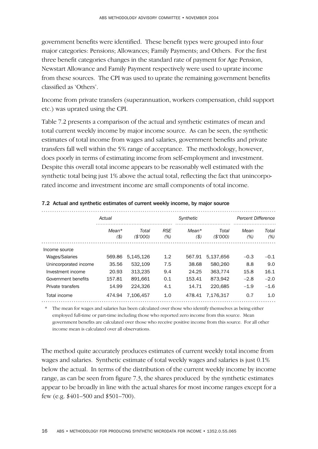government benefits were identified. These benefit types were grouped into four major categories: Pensions; Allowances; Family Payments; and Others. For the first three benefit categories changes in the standard rate of payment for Age Pension, Newstart Allowance and Family Payment respectively were used to uprate income from these sources. The CPI was used to uprate the remaining government benefits classified as 'Others'.

Income from private transfers (superannuation, workers compensation, child support etc.) was uprated using the CPI.

Table 7.2 presents a comparison of the actual and synthetic estimates of mean and total current weekly income by major income source. As can be seen, the synthetic estimates of total income from wages and salaries, government benefits and private transfers fall well within the 5% range of acceptance. The methodology, however, does poorly in terms of estimating income from self-employment and investment. Despite this overall total income appears to be reasonably well estimated with the synthetic total being just 1% above the actual total, reflecting the fact that unincorporated income and investment income are small components of total income.

|                       | Actual        |                  | Synthetic         |                  |                   | Percent Difference |              |
|-----------------------|---------------|------------------|-------------------|------------------|-------------------|--------------------|--------------|
|                       | Mean*<br>(\$) | Total<br>(S'000) | <b>RSE</b><br>(%) | $Mean*$<br>( \$) | Total<br>(\$7000) | Mean<br>(%)        | Total<br>(%) |
| Income source         |               |                  |                   |                  |                   |                    |              |
| Wages/Salaries        | 569.86        | 5.145.126        | 1.2               | 567.91           | 5.137.656         | $-0.3$             | $-0.1$       |
| Unincorporated income | 35.56         | 532,109          | 7.5               | 38.68            | 580,260           | 8.8                | 9.0          |
| Investment income     | 20.93         | 313.235          | 9.4               | 24.25            | 363.774           | 15.8               | 16.1         |
| Government benefits   | 157.81        | 891.661          | 0.1               | 153.41           | 873.942           | $-2.8$             | $-2.0$       |
| Private transfers     | 14.99         | 224.326          | 4.1               | 14.71            | 220.685           | $-1.9$             | $-1.6$       |
| Total income          | 474.94        | 7.106.457        | 1.0               | 478.41           | 7.176.317         | 0.7                | 1.0          |

#### 7.2 Actual and synthetic estimates of current weekly income, by major source

\* The mean for wages and salaries has been calculated over those who identify themselves as being either employed full-time or part-time including those who reported zero income from this source. Mean government benefits are calculated over those who receive positive income from this source. For all other income mean is calculated over all observations.

The method quite accurately produces estimates of current weekly total income from wages and salaries. Synthetic estimate of total weekly wages and salaries is just 0.1% below the actual. In terms of the distribution of the current weekly income by income range, as can be seen from figure 7.3, the shares produced by the synthetic estimates appear to be broadly in line with the actual shares for most income ranges except for a few (e.g. \$401–500 and \$501–700).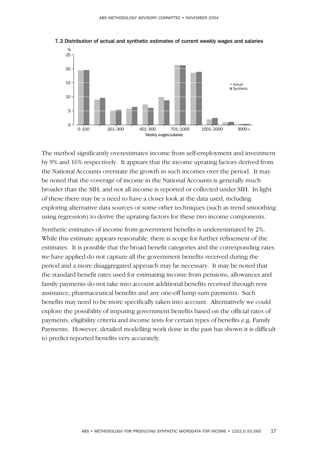

7.3 Distribution of actual and synthetic estimates of current weekly wages and salaries

The method significantly overestimates income from self-employment and investment by 9% and 16% respectively. It appears that the income uprating factors derived from the National Accounts overstate the growth in such incomes over the period. It may be noted that the coverage of income in the National Accounts is generally much broader than the SIH, and not all income is reported or collected under SIH. In light of these there may be a need to have a closer look at the data used, including exploring alternative data sources or some other techniques (such as trend smoothing using regression) to derive the uprating factors for these two income components.

Synthetic estimates of income from government benefits is underestimated by 2%. While this estimate appears reasonable, there is scope for further refinement of the estimates. It is possible that the broad benefit categories and the corresponding rates we have applied do not capture all the government benefits received during the period and a more disaggregated approach may be necessary. It may be noted that the standard benefit rates used for estimating income from pensions, allowances and family payments do not take into account additional benefits received through rent assistance, pharmaceutical benefits and any one-off lump sum payments. Such benefits may need to be more specifically taken into account. Alternatively we could explore the possibility of imputing government benefits based on the official rates of payments, eligibility criteria and income tests for certain types of benefits e.g. Family Payments. However, detailed modelling work done in the past has shown it is difficult to predict reported benefits very accurately.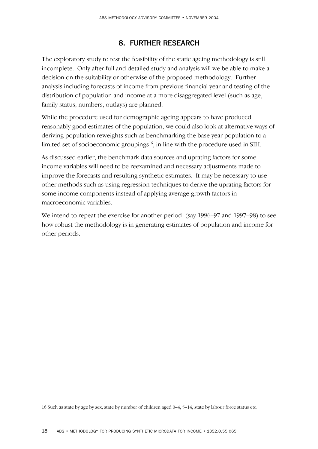# 8. FURTHER RESEARCH

The exploratory study to test the feasibility of the static ageing methodology is still incomplete. Only after full and detailed study and analysis will we be able to make a decision on the suitability or otherwise of the proposed methodology. Further analysis including forecasts of income from previous financial year and testing of the distribution of population and income at a more disaggregated level (such as age, family status, numbers, outlays) are planned.

While the procedure used for demographic ageing appears to have produced reasonably good estimates of the population, we could also look at alternative ways of deriving population reweights such as benchmarking the base year population to a limited set of socioeconomic groupings $16$ , in line with the procedure used in SIH.

As discussed earlier, the benchmark data sources and uprating factors for some income variables will need to be reexamined and necessary adjustments made to improve the forecasts and resulting synthetic estimates. It may be necessary to use other methods such as using regression techniques to derive the uprating factors for some income components instead of applying average growth factors in macroeconomic variables.

We intend to repeat the exercise for another period (say 1996–97 and 1997–98) to see how robust the methodology is in generating estimates of population and income for other periods.

<sup>16</sup> Such as state by age by sex, state by number of children aged 0–4, 5–14, state by labour force status etc..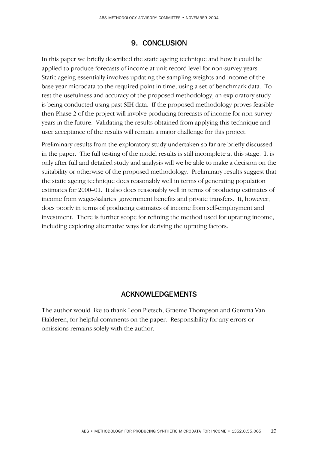## 9. CONCLUSION

In this paper we briefly described the static ageing technique and how it could be applied to produce forecasts of income at unit record level for non-survey years. Static ageing essentially involves updating the sampling weights and income of the base year microdata to the required point in time, using a set of benchmark data. To test the usefulness and accuracy of the proposed methodology, an exploratory study is being conducted using past SIH data. If the proposed methodology proves feasible then Phase 2 of the project will involve producing forecasts of income for non-survey years in the future. Validating the results obtained from applying this technique and user acceptance of the results will remain a major challenge for this project.

Preliminary results from the exploratory study undertaken so far are briefly discussed in the paper. The full testing of the model results is still incomplete at this stage. It is only after full and detailed study and analysis will we be able to make a decision on the suitability or otherwise of the proposed methodology. Preliminary results suggest that the static ageing technique does reasonably well in terms of generating population estimates for 2000–01. It also does reasonably well in terms of producing estimates of income from wages/salaries, government benefits and private transfers. It, however, does poorly in terms of producing estimates of income from self-employment and investment. There is further scope for refining the method used for uprating income, including exploring alternative ways for deriving the uprating factors.

### ACKNOWLEDGEMENTS

The author would like to thank Leon Pietsch, Graeme Thompson and Gemma Van Halderen, for helpful comments on the paper. Responsibility for any errors or omissions remains solely with the author.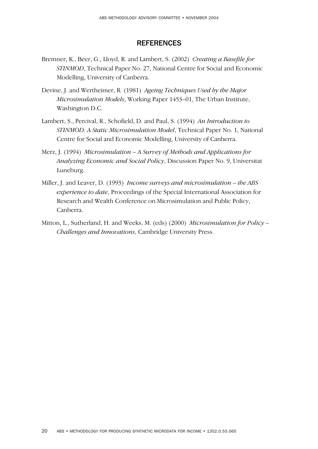#### **REFERENCES**

- Bremner, K., Beer, G., Lloyd, R. and Lambert, S. (2002) *Creating a Basefile for STINMOD*, Technical Paper No. 27, National Centre for Social and Economic Modelling, University of Canberra.
- Devine, J. and Wertheimer, R. (1981) *Ageing Techniques Used by the Major Microsimulation Models*, Working Paper 1453–01, The Urban Institute, Washington D.C.
- Lambert, S., Percival, R., Schofield, D. and Paul, S. (1994) *An Introduction to STINMOD: A Static Microsimulation Model*, Technical Paper No. 1, National Centre for Social and Economic Modelling, University of Canberra.
- Merz, J. (1994) *Microsimulation A Survey of Methods and Applications for Analyzing Economic and Social Policy*, Discussion Paper No. 9, Universitat Luneburg.
- Miller, J. and Leaver, D. (1993) *Income surveys and microsimulation the ABS experience to date*, Proceedings of the Special International Association for Research and Wealth Conference on Microsimulation and Public Policy, Canberra.
- Mitton, L., Sutherland, H. and Weeks, M. (eds) (2000) *Microsimulation for Policy – Challenges and Innovations*, Cambridge University Press.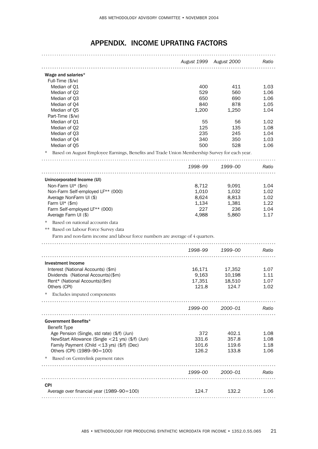|                                                                                              | August 1999 August 2000 |                 | Ratio        |
|----------------------------------------------------------------------------------------------|-------------------------|-----------------|--------------|
|                                                                                              |                         |                 |              |
| Wage and salaries*                                                                           |                         |                 |              |
| Full-Time (\$/w)                                                                             |                         |                 |              |
| Median of Q1                                                                                 | 400                     | 411             | 1.03         |
| Median of Q2<br>Median of Q3                                                                 | 529<br>650              | 560<br>690      | 1.06<br>1.06 |
| Median of Q4                                                                                 | 840                     | 878             | 1.05         |
| Median of Q5                                                                                 | 1,200                   | 1,250           | 1.04         |
| Part-Time (\$/w)                                                                             |                         |                 |              |
| Median of Q1                                                                                 | 55                      | 56              | 1.02         |
| Median of Q2                                                                                 | 125                     | 135             | 1.08         |
| Median of Q3                                                                                 | 235                     | 245             | 1.04         |
| Median of Q4                                                                                 | 340                     | 350             | 1.03         |
| Median of Q5                                                                                 | 500                     | 528             | 1.06         |
| Based on August Employee Earnings, Benefits and Trade Union Membership Survey for each year. |                         |                 |              |
|                                                                                              | 1998-99                 | 1999–00         | Ratio        |
| Unincorporated Income (UI)                                                                   |                         |                 |              |
| Non-Farm UI* (\$m)                                                                           | 8,712                   | 9,091           | 1.04         |
| Non-Farm Self-employed LF** (000)                                                            | 1,010                   | 1,032           | 1.02         |
| Average NonFarm UI (\$)                                                                      | 8,624                   | 8,813           | 1.02         |
| Farm $UI^*$ (\$m)                                                                            | 1,134                   | 1,381           | 1.22         |
| Farm Self-employed LF** (000)                                                                | 227                     | 236             | 1.04         |
| Average Farm UI (\$)                                                                         | 4,988                   | 5,860           | 1.17         |
| Based on national accounts data                                                              |                         |                 |              |
| Based on Labour Force Survey data                                                            |                         |                 |              |
| Farm and non-farm income and labour force numbers are average of 4 quarters.                 |                         |                 |              |
|                                                                                              | 1998–99                 | 1999–00         | Ratio        |
|                                                                                              |                         |                 |              |
| <b>Investment Income</b>                                                                     |                         |                 |              |
| Interest (National Accounts) (\$m)                                                           | 16,171                  | 17,352          | 1.07         |
| Dividends (National Accounts) (\$m)                                                          | 9,163                   | 10,198          | 1.11         |
| Rent* (National Accounts)(\$m)                                                               | 17,351                  | 18,510          | 1.07         |
| Others (CPI)                                                                                 | 121.8                   | 124.7           | 1.02         |
| Excludes imputed components                                                                  |                         |                 |              |
|                                                                                              |                         | 1999-00 2000-01 | <b>Ratio</b> |
|                                                                                              |                         |                 |              |
| Government Benefits*<br><b>Benefit Type</b>                                                  |                         |                 |              |
| Age Pension (Single, std rate) (\$/f) (Jun)                                                  | 372                     | 402.1           | 1.08         |
| NewStart Allowance (Single <21 yrs) (\$/f) (Jun)                                             | 331.6                   | 357.8           | 1.08         |
| Family Payment (Child <13 yrs) (\$/f) (Dec)                                                  | 101.6                   | 119.6           | 1.18         |
| Others (CPI) (1989-90=100)                                                                   | 126.2                   | 133.8           | 1.06         |
| Based on Centrelink payment rates<br>∗                                                       |                         |                 |              |
|                                                                                              |                         | 1999-00 2000-01 | Ratio        |
|                                                                                              |                         |                 |              |
| <b>CPI</b>                                                                                   |                         |                 |              |
| Average over financial year (1989-90=100)                                                    | 124.7                   | 132.2           | 1.06         |
|                                                                                              |                         |                 |              |